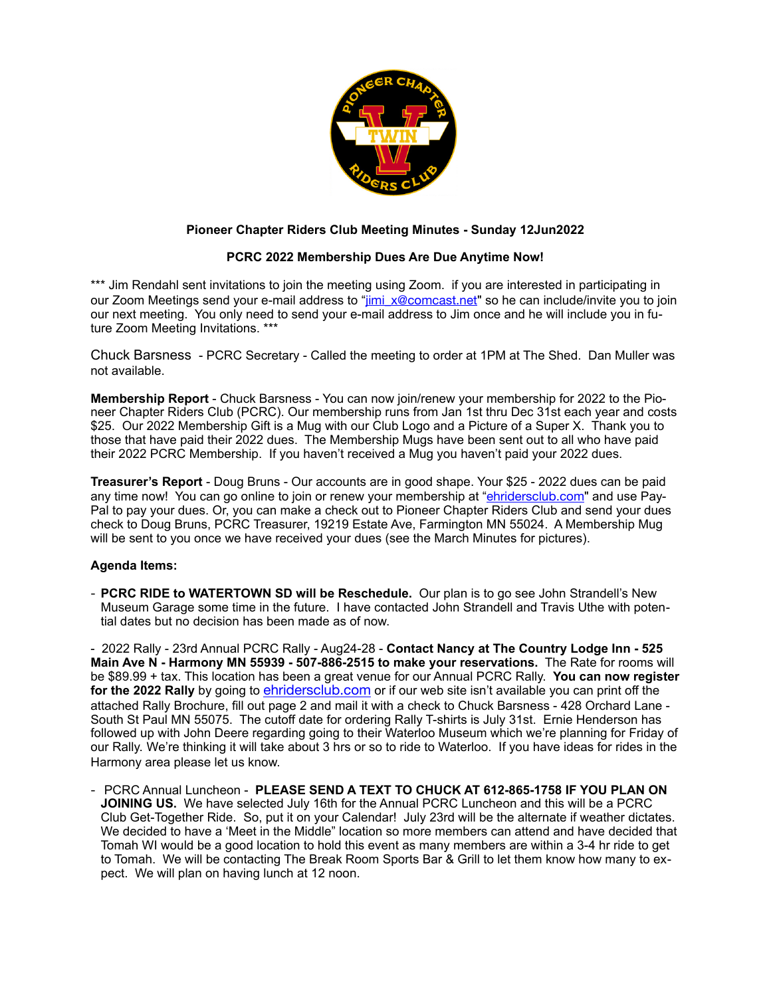

## **Pioneer Chapter Riders Club Meeting Minutes - Sunday 12Jun2022**

## **PCRC 2022 Membership Dues Are Due Anytime Now!**

\*\*\* Jim Rendahl sent invitations to join the meeting using Zoom. If you are interested in participating in our Zoom Meetings send your e-mail address to "[jimi\\_x@comcast.net](mailto:jimi_x@comcast.net)" so he can include/invite you to join our next meeting. You only need to send your e-mail address to Jim once and he will include you in future Zoom Meeting Invitations. \*\*\*

Chuck Barsness - PCRC Secretary - Called the meeting to order at 1PM at The Shed. Dan Muller was not available.

**Membership Report** - Chuck Barsness - You can now join/renew your membership for 2022 to the Pioneer Chapter Riders Club (PCRC). Our membership runs from Jan 1st thru Dec 31st each year and costs \$25. Our 2022 Membership Gift is a Mug with our Club Logo and a Picture of a Super X. Thank you to those that have paid their 2022 dues. The Membership Mugs have been sent out to all who have paid their 2022 PCRC Membership. If you haven't received a Mug you haven't paid your 2022 dues.

**Treasurer's Report** - Doug Bruns - Our accounts are in good shape. Your \$25 - 2022 dues can be paid any time now! You can go online to join or renew your membership at "[ehridersclub.com](http://ehridersclub.com)" and use Pay-Pal to pay your dues. Or, you can make a check out to Pioneer Chapter Riders Club and send your dues check to Doug Bruns, PCRC Treasurer, 19219 Estate Ave, Farmington MN 55024. A Membership Mug will be sent to you once we have received your dues (see the March Minutes for pictures).

## **Agenda Items:**

- **PCRC RIDE to WATERTOWN SD will be Reschedule.** Our plan is to go see John Strandell's New Museum Garage some time in the future. I have contacted John Strandell and Travis Uthe with potential dates but no decision has been made as of now.

- 2022 Rally - 23rd Annual PCRC Rally - Aug24-28 - **Contact Nancy at The Country Lodge Inn - 525 Main Ave N - Harmony MN 55939 - 507-886-2515 to make your reservations.** The Rate for rooms will be \$89.99 + tax. This location has been a great venue for our Annual PCRC Rally. **You can now register for the 2022 Rally** by going to [ehridersclub.com](http://ehridersclub.com) or if our web site isn't available you can print off the attached Rally Brochure, fill out page 2 and mail it with a check to Chuck Barsness - 428 Orchard Lane - South St Paul MN 55075. The cutoff date for ordering Rally T-shirts is July 31st. Ernie Henderson has followed up with John Deere regarding going to their Waterloo Museum which we're planning for Friday of our Rally. We're thinking it will take about 3 hrs or so to ride to Waterloo. If you have ideas for rides in the Harmony area please let us know.

- PCRC Annual Luncheon - **PLEASE SEND A TEXT TO CHUCK AT 612-865-1758 IF YOU PLAN ON JOINING US.** We have selected July 16th for the Annual PCRC Luncheon and this will be a PCRC Club Get-Together Ride. So, put it on your Calendar! July 23rd will be the alternate if weather dictates. We decided to have a 'Meet in the Middle" location so more members can attend and have decided that Tomah WI would be a good location to hold this event as many members are within a 3-4 hr ride to get to Tomah. We will be contacting The Break Room Sports Bar & Grill to let them know how many to expect. We will plan on having lunch at 12 noon.